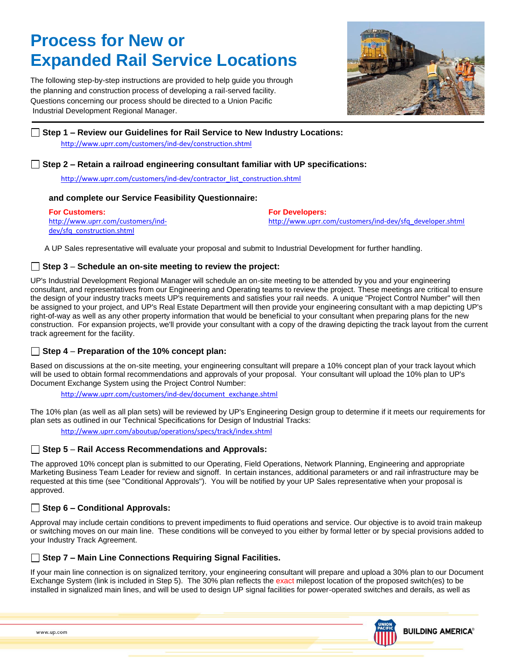# **Process for New or Expanded Rail Service Locations**

The following step-by-step instructions are provided to help guide you through the planning and construction process of developing a rail-served facility. Questions concerning our process should be directed to a Union Pacific Industrial Development Regional Manager.



# **Step 1 – Review our Guidelines for Rail Service to New Industry Locations:**  <http://www.uprr.com/customers/ind-dev/construction.shtml>

## **Step 2 – Retain a railroad engineering consultant familiar with UP specifications:**

[http://www.uprr.com/customers/ind-dev/contractor\\_list\\_construction.shtml](http://www.uprr.com/customers/ind-dev/contractor_list_construction.shtml)

#### **and complete our Service Feasibility Questionnaire:**

| <b>For Customers:</b>              | <b>For Developers:</b>                                    |
|------------------------------------|-----------------------------------------------------------|
| http://www.uprr.com/customers/ind- | http://www.uprr.com/customers/ind-dev/sfg_developer.shtml |
| dev/sfg_construction.shtml         |                                                           |

A UP Sales representative will evaluate your proposal and submit to Industrial Development for further handling.

## **Step 3** – **Schedule an on-site meeting to review the project:**

UP's Industrial Development Regional Manager will schedule an on-site meeting to be attended by you and your engineering consultant, and representatives from our Engineering and Operating teams to review the project. These meetings are critical to ensure the design of your industry tracks meets UP's requirements and satisfies your rail needs. A unique "Project Control Number" will then be assigned to your project, and UP's Real Estate Department will then provide your engineering consultant with a map depicting UP's right-of-way as well as any other property information that would be beneficial to your consultant when preparing plans for the new construction. For expansion projects, we'll provide your consultant with a copy of the drawing depicting the track layout from the current track agreement for the facility.

## **Step 4** – **Preparation of the 10% concept plan:**

Based on discussions at the on-site meeting, your engineering consultant will prepare a 10% concept plan of your track layout which will be used to obtain formal recommendations and approvals of your proposal. Your consultant will upload the 10% plan to UP's Document Exchange System using the Project Control Number:

[http://www.uprr.com/customers/ind-dev/document\\_exchange.shtml](http://www.uprr.com/customers/ind-dev/document_exchange.shtml)

The 10% plan (as well as all plan sets) will be reviewed by UP's Engineering Design group to determine if it meets our requirements for plan sets as outlined in our Technical Specifications for Design of Industrial Tracks:

<http://www.uprr.com/aboutup/operations/specs/track/index.shtml>

## **Step 5** – **Rail Access Recommendations and Approvals:**

The approved 10% concept plan is submitted to our Operating, Field Operations, Network Planning, Engineering and appropriate Marketing Business Team Leader for review and signoff. In certain instances, additional parameters or and rail infrastructure may be requested at this time (see "Conditional Approvals"). You will be notified by your UP Sales representative when your proposal is approved.

# **Step 6 – Conditional Approvals:**

Approval may include certain conditions to prevent impediments to fluid operations and service. Our objective is to avoid train makeup or switching moves on our main line. These conditions will be conveyed to you either by formal letter or by special provisions added to your Industry Track Agreement.

## **Step 7 – Main Line Connections Requiring Signal Facilities.**

If your main line connection is on signalized territory, your engineering consultant will prepare and upload a 30% plan to our Document Exchange System (link is included in Step 5). The 30% plan reflects the exact milepost location of the proposed switch(es) to be installed in signalized main lines, and will be used to design UP signal facilities for power-operated switches and derails, as well as

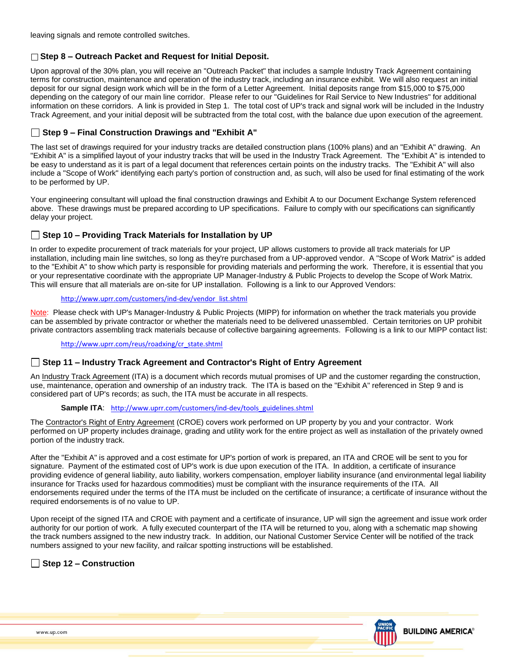leaving signals and remote controlled switches.

## **Step 8 – Outreach Packet and Request for Initial Deposit.**

Upon approval of the 30% plan, you will receive an "Outreach Packet" that includes a sample Industry Track Agreement containing terms for construction, maintenance and operation of the industry track, including an insurance exhibit. We will also request an initial deposit for our signal design work which will be in the form of a Letter Agreement. Initial deposits range from \$15,000 to \$75,000 depending on the category of our main line corridor. Please refer to our "Guidelines for Rail Service to New Industries" for additional information on these corridors. A link is provided in Step 1. The total cost of UP's track and signal work will be included in the Industry Track Agreement, and your initial deposit will be subtracted from the total cost, with the balance due upon execution of the agreement.

# **Step 9 – Final Construction Drawings and "Exhibit A"**

The last set of drawings required for your industry tracks are detailed construction plans (100% plans) and an "Exhibit A" drawing. An "Exhibit A" is a simplified layout of your industry tracks that will be used in the Industry Track Agreement. The "Exhibit A" is intended to be easy to understand as it is part of a legal document that references certain points on the industry tracks. The "Exhibit A" will also include a "Scope of Work" identifying each party's portion of construction and, as such, will also be used for final estimating of the work to be performed by UP.

Your engineering consultant will upload the final construction drawings and Exhibit A to our Document Exchange System referenced above. These drawings must be prepared according to UP specifications. Failure to comply with our specifications can significantly delay your project.

# **Step 10 – Providing Track Materials for Installation by UP**

In order to expedite procurement of track materials for your project, UP allows customers to provide all track materials for UP installation, including main line switches, so long as they're purchased from a UP-approved vendor. A "Scope of Work Matrix" is added to the "Exhibit A" to show which party is responsible for providing materials and performing the work. Therefore, it is essential that you or your representative coordinate with the appropriate UP Manager-Industry & Public Projects to develop the Scope of Work Matrix. This will ensure that all materials are on-site for UP installation. Following is a link to our Approved Vendors:

#### [http://www.uprr.com/customers/ind-dev/vendor\\_list.shtml](http://www.uprr.com/customers/ind-dev/vendor_list.shtml)

Note: Please check with UP's Manager-Industry & Public Projects (MIPP) for information on whether the track materials you provide can be assembled by private contractor or whether the materials need to be delivered unassembled. Certain territories on UP prohibit private contractors assembling track materials because of collective bargaining agreements. Following is a link to our MIPP contact list:

#### [http://www.uprr.com/reus/roadxing/cr\\_state.shtml](http://www.uprr.com/reus/roadxing/cr_state.shtml)

## **Step 11 – Industry Track Agreement and Contractor's Right of Entry Agreement**

An Industry Track Agreement (ITA) is a document which records mutual promises of UP and the customer regarding the construction, use, maintenance, operation and ownership of an industry track. The ITA is based on the "Exhibit A" referenced in Step 9 and is considered part of UP's records; as such, the ITA must be accurate in all respects.

#### **Sample ITA:** [http://www.uprr.com/customers/ind-dev/tools\\_guidelines.shtml](http://www.uprr.com/customers/ind-dev/tools_guidelines.shtml)

The Contractor's Right of Entry Agreement (CROE) covers work performed on UP property by you and your contractor. Work performed on UP property includes drainage, grading and utility work for the entire project as well as installation of the privately owned portion of the industry track.

After the "Exhibit A" is approved and a cost estimate for UP's portion of work is prepared, an ITA and CROE will be sent to you for signature. Payment of the estimated cost of UP's work is due upon execution of the ITA. In addition, a certificate of insurance providing evidence of general liability, auto liability, workers compensation, employer liability insurance (and environmental legal liability insurance for Tracks used for hazardous commodities) must be compliant with the insurance requirements of the ITA. All endorsements required under the terms of the ITA must be included on the certificate of insurance; a certificate of insurance without the required endorsements is of no value to UP.

Upon receipt of the signed ITA and CROE with payment and a certificate of insurance, UP will sign the agreement and issue work order authority for our portion of work. A fully executed counterpart of the ITA will be returned to you, along with a schematic map showing the track numbers assigned to the new industry track. In addition, our National Customer Service Center will be notified of the track numbers assigned to your new facility, and railcar spotting instructions will be established.

## **Step 12 – Construction**